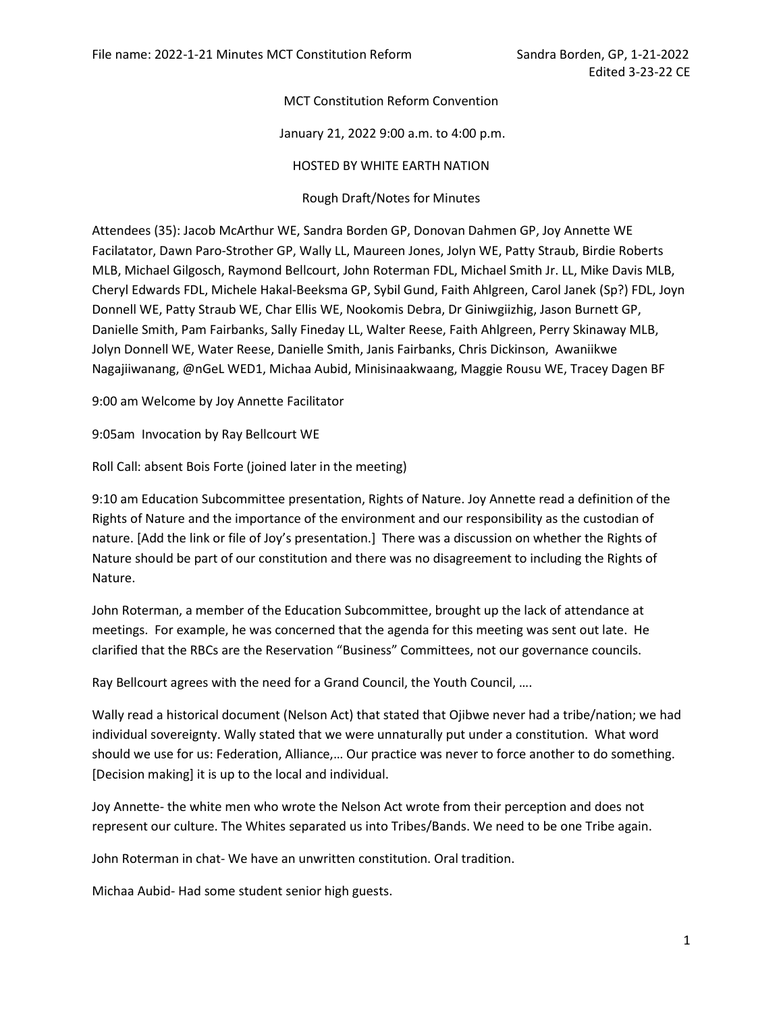## MCT Constitution Reform Convention

## January 21, 2022 9:00 a.m. to 4:00 p.m.

## HOSTED BY WHITE EARTH NATION

Rough Draft/Notes for Minutes

Attendees (35): Jacob McArthur WE, Sandra Borden GP, Donovan Dahmen GP, Joy Annette WE Facilatator, Dawn Paro-Strother GP, Wally LL, Maureen Jones, Jolyn WE, Patty Straub, Birdie Roberts MLB, Michael Gilgosch, Raymond Bellcourt, John Roterman FDL, Michael Smith Jr. LL, Mike Davis MLB, Cheryl Edwards FDL, Michele Hakal-Beeksma GP, Sybil Gund, Faith Ahlgreen, Carol Janek (Sp?) FDL, Joyn Donnell WE, Patty Straub WE, Char Ellis WE, Nookomis Debra, Dr Giniwgiizhig, Jason Burnett GP, Danielle Smith, Pam Fairbanks, Sally Fineday LL, Walter Reese, Faith Ahlgreen, Perry Skinaway MLB, Jolyn Donnell WE, Water Reese, Danielle Smith, Janis Fairbanks, Chris Dickinson, Awaniikwe Nagajiiwanang, @nGeL WED1, Michaa Aubid, Minisinaakwaang, Maggie Rousu WE, Tracey Dagen BF

9:00 am Welcome by Joy Annette Facilitator

9:05am Invocation by Ray Bellcourt WE

Roll Call: absent Bois Forte (joined later in the meeting)

9:10 am Education Subcommittee presentation, Rights of Nature. Joy Annette read a definition of the Rights of Nature and the importance of the environment and our responsibility as the custodian of nature. [Add the link or file of Joy's presentation.] There was a discussion on whether the Rights of Nature should be part of our constitution and there was no disagreement to including the Rights of Nature.

John Roterman, a member of the Education Subcommittee, brought up the lack of attendance at meetings. For example, he was concerned that the agenda for this meeting was sent out late. He clarified that the RBCs are the Reservation "Business" Committees, not our governance councils.

Ray Bellcourt agrees with the need for a Grand Council, the Youth Council, ….

Wally read a historical document (Nelson Act) that stated that Ojibwe never had a tribe/nation; we had individual sovereignty. Wally stated that we were unnaturally put under a constitution. What word should we use for us: Federation, Alliance,… Our practice was never to force another to do something. [Decision making] it is up to the local and individual.

Joy Annette- the white men who wrote the Nelson Act wrote from their perception and does not represent our culture. The Whites separated us into Tribes/Bands. We need to be one Tribe again.

John Roterman in chat- We have an unwritten constitution. Oral tradition.

Michaa Aubid- Had some student senior high guests.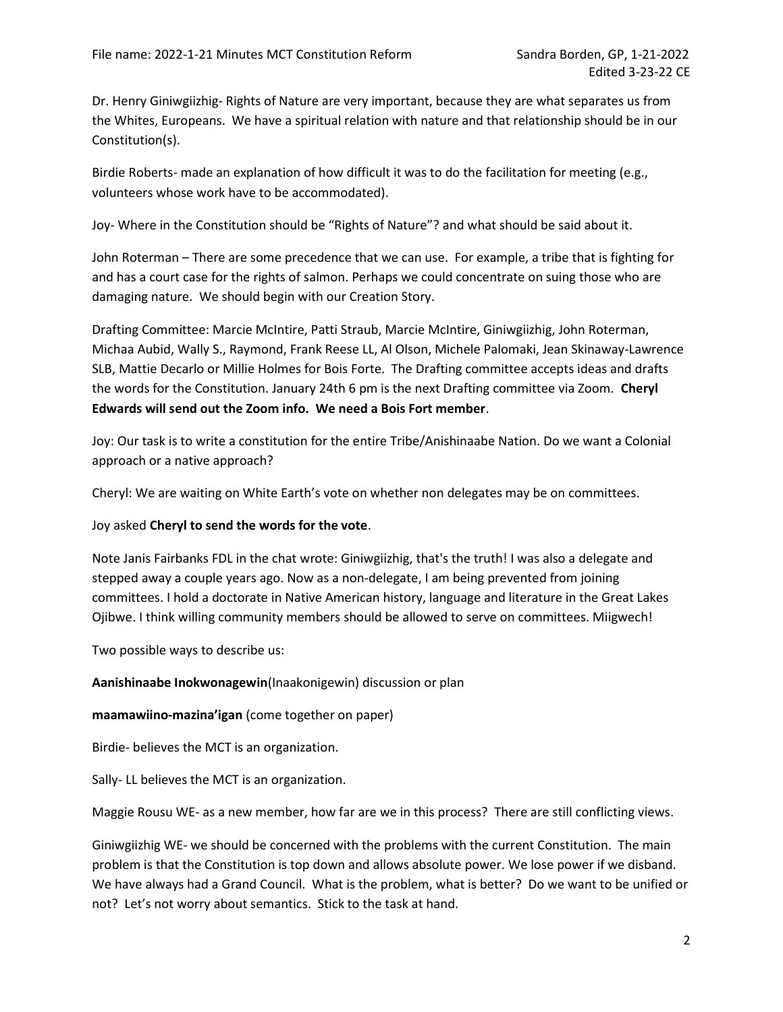Dr. Henry Giniwgiizhig- Rights of Nature are very important, because they are what separates us from the Whites, Europeans. We have a spiritual relation with nature and that relationship should be in our Constitution(s).

Birdie Roberts- made an explanation of how difficult it was to do the facilitation for meeting (e.g., volunteers whose work have to be accommodated).

Joy- Where in the Constitution should be "Rights of Nature"? and what should be said about it.

John Roterman – There are some precedence that we can use. For example, a tribe that is fighting for and has a court case for the rights of salmon. Perhaps we could concentrate on suing those who are damaging nature. We should begin with our Creation Story.

Drafting Committee: Marcie McIntire, Patti Straub, Marcie McIntire, Giniwgiizhig, John Roterman, Michaa Aubid, Wally S., Raymond, Frank Reese LL, Al Olson, Michele Palomaki, Jean Skinaway-Lawrence SLB, Mattie Decarlo or Millie Holmes for Bois Forte. The Drafting committee accepts ideas and drafts the words for the Constitution. January 24th 6 pm is the next Drafting committee via Zoom. Cheryl Edwards will send out the Zoom info. We need a Bois Fort member.

Joy: Our task is to write a constitution for the entire Tribe/Anishinaabe Nation. Do we want a Colonial approach or a native approach?

Cheryl: We are waiting on White Earth's vote on whether non delegates may be on committees.

Joy asked Cheryl to send the words for the vote.

Note Janis Fairbanks FDL in the chat wrote: Giniwgiizhig, that's the truth! I was also a delegate and stepped away a couple years ago. Now as a non-delegate, I am being prevented from joining committees. I hold a doctorate in Native American history, language and literature in the Great Lakes Ojibwe. I think willing community members should be allowed to serve on committees. Miigwech!

Two possible ways to describe us:

Aanishinaabe Inokwonagewin(Inaakonigewin) discussion or plan

maamawiino-mazina'igan (come together on paper)

Birdie- believes the MCT is an organization.

Sally- LL believes the MCT is an organization.

Maggie Rousu WE- as a new member, how far are we in this process? There are still conflicting views.

Giniwgiizhig WE- we should be concerned with the problems with the current Constitution. The main problem is that the Constitution is top down and allows absolute power. We lose power if we disband. We have always had a Grand Council. What is the problem, what is better? Do we want to be unified or not? Let's not worry about semantics. Stick to the task at hand.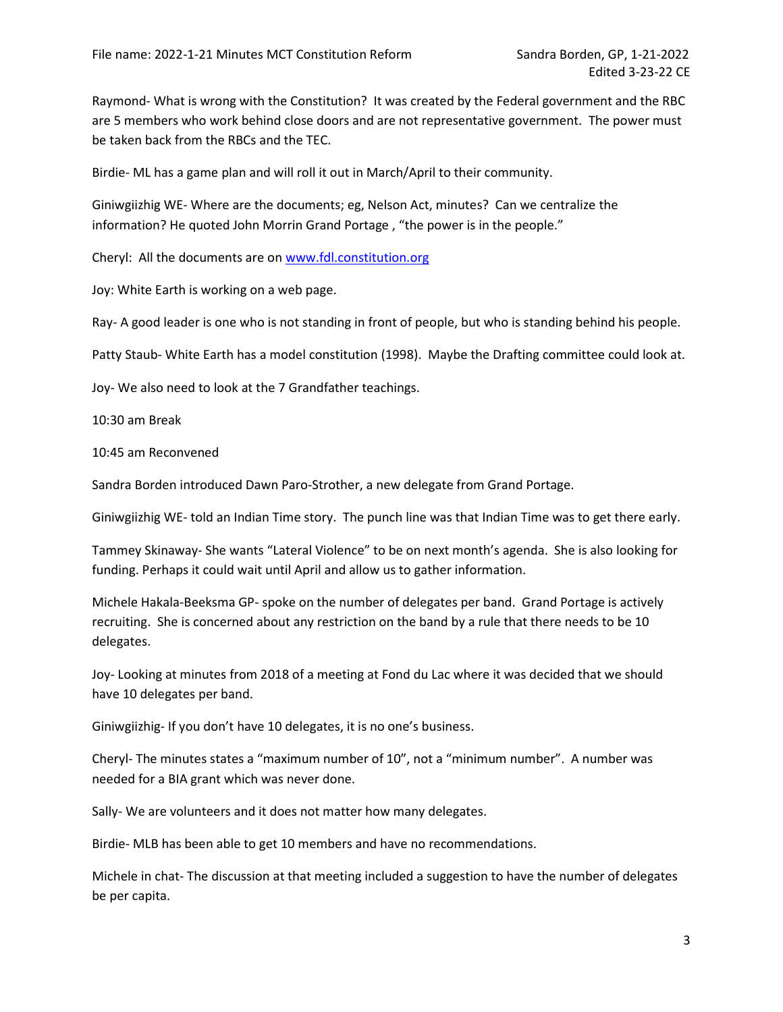Raymond- What is wrong with the Constitution? It was created by the Federal government and the RBC are 5 members who work behind close doors and are not representative government. The power must be taken back from the RBCs and the TEC.

Birdie- ML has a game plan and will roll it out in March/April to their community.

Giniwgiizhig WE- Where are the documents; eg, Nelson Act, minutes? Can we centralize the information? He quoted John Morrin Grand Portage , "the power is in the people."

Cheryl: All the documents are on www.fdl.constitution.org

Joy: White Earth is working on a web page.

Ray- A good leader is one who is not standing in front of people, but who is standing behind his people.

Patty Staub- White Earth has a model constitution (1998). Maybe the Drafting committee could look at.

Joy- We also need to look at the 7 Grandfather teachings.

10:30 am Break

10:45 am Reconvened

Sandra Borden introduced Dawn Paro-Strother, a new delegate from Grand Portage.

Giniwgiizhig WE- told an Indian Time story. The punch line was that Indian Time was to get there early.

Tammey Skinaway- She wants "Lateral Violence" to be on next month's agenda. She is also looking for funding. Perhaps it could wait until April and allow us to gather information.

Michele Hakala-Beeksma GP- spoke on the number of delegates per band. Grand Portage is actively recruiting. She is concerned about any restriction on the band by a rule that there needs to be 10 delegates.

Joy- Looking at minutes from 2018 of a meeting at Fond du Lac where it was decided that we should have 10 delegates per band.

Giniwgiizhig- If you don't have 10 delegates, it is no one's business.

Cheryl- The minutes states a "maximum number of 10", not a "minimum number". A number was needed for a BIA grant which was never done.

Sally- We are volunteers and it does not matter how many delegates.

Birdie- MLB has been able to get 10 members and have no recommendations.

Michele in chat- The discussion at that meeting included a suggestion to have the number of delegates be per capita.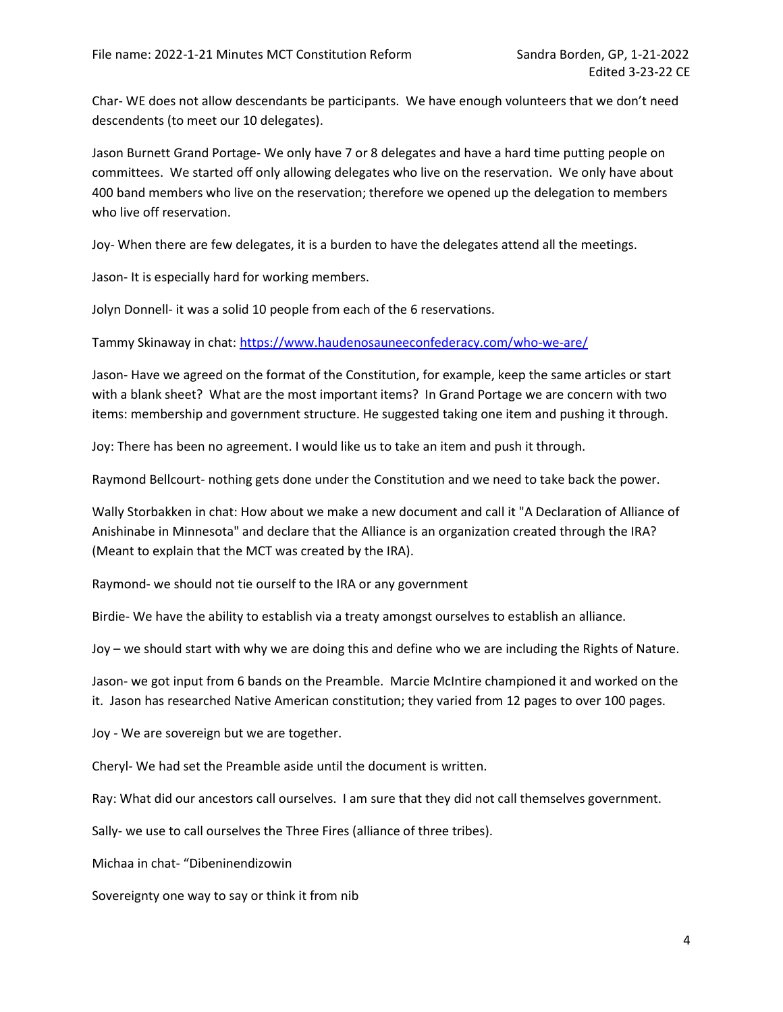Char- WE does not allow descendants be participants. We have enough volunteers that we don't need descendents (to meet our 10 delegates).

Jason Burnett Grand Portage- We only have 7 or 8 delegates and have a hard time putting people on committees. We started off only allowing delegates who live on the reservation. We only have about 400 band members who live on the reservation; therefore we opened up the delegation to members who live off reservation.

Joy- When there are few delegates, it is a burden to have the delegates attend all the meetings.

Jason- It is especially hard for working members.

Jolyn Donnell- it was a solid 10 people from each of the 6 reservations.

Tammy Skinaway in chat: https://www.haudenosauneeconfederacy.com/who-we-are/

Jason- Have we agreed on the format of the Constitution, for example, keep the same articles or start with a blank sheet? What are the most important items? In Grand Portage we are concern with two items: membership and government structure. He suggested taking one item and pushing it through.

Joy: There has been no agreement. I would like us to take an item and push it through.

Raymond Bellcourt- nothing gets done under the Constitution and we need to take back the power.

Wally Storbakken in chat: How about we make a new document and call it "A Declaration of Alliance of Anishinabe in Minnesota" and declare that the Alliance is an organization created through the IRA? (Meant to explain that the MCT was created by the IRA).

Raymond- we should not tie ourself to the IRA or any government

Birdie- We have the ability to establish via a treaty amongst ourselves to establish an alliance.

Joy – we should start with why we are doing this and define who we are including the Rights of Nature.

Jason- we got input from 6 bands on the Preamble. Marcie McIntire championed it and worked on the it. Jason has researched Native American constitution; they varied from 12 pages to over 100 pages.

Joy - We are sovereign but we are together.

Cheryl- We had set the Preamble aside until the document is written.

Ray: What did our ancestors call ourselves. I am sure that they did not call themselves government.

Sally- we use to call ourselves the Three Fires (alliance of three tribes).

Michaa in chat- "Dibeninendizowin

Sovereignty one way to say or think it from nib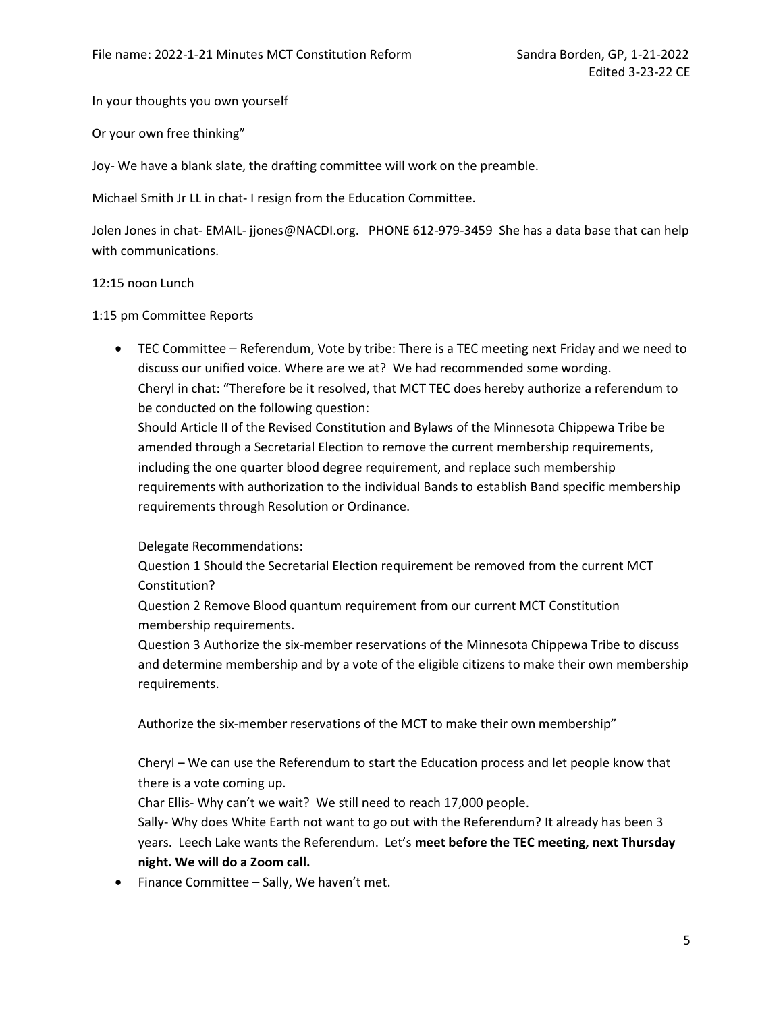In your thoughts you own yourself

Or your own free thinking"

Joy- We have a blank slate, the drafting committee will work on the preamble.

Michael Smith Jr LL in chat- I resign from the Education Committee.

Jolen Jones in chat- EMAIL- jjones@NACDI.org. PHONE 612-979-3459 She has a data base that can help with communications.

#### 12:15 noon Lunch

1:15 pm Committee Reports

 TEC Committee – Referendum, Vote by tribe: There is a TEC meeting next Friday and we need to discuss our unified voice. Where are we at? We had recommended some wording. Cheryl in chat: "Therefore be it resolved, that MCT TEC does hereby authorize a referendum to be conducted on the following question:

Should Article II of the Revised Constitution and Bylaws of the Minnesota Chippewa Tribe be amended through a Secretarial Election to remove the current membership requirements, including the one quarter blood degree requirement, and replace such membership requirements with authorization to the individual Bands to establish Band specific membership requirements through Resolution or Ordinance.

Delegate Recommendations:

Question 1 Should the Secretarial Election requirement be removed from the current MCT Constitution?

Question 2 Remove Blood quantum requirement from our current MCT Constitution membership requirements.

Question 3 Authorize the six-member reservations of the Minnesota Chippewa Tribe to discuss and determine membership and by a vote of the eligible citizens to make their own membership requirements.

Authorize the six-member reservations of the MCT to make their own membership"

Cheryl – We can use the Referendum to start the Education process and let people know that there is a vote coming up.

Char Ellis- Why can't we wait? We still need to reach 17,000 people.

Sally- Why does White Earth not want to go out with the Referendum? It already has been 3 years. Leech Lake wants the Referendum. Let's meet before the TEC meeting, next Thursday night. We will do a Zoom call.

• Finance Committee – Sally, We haven't met.